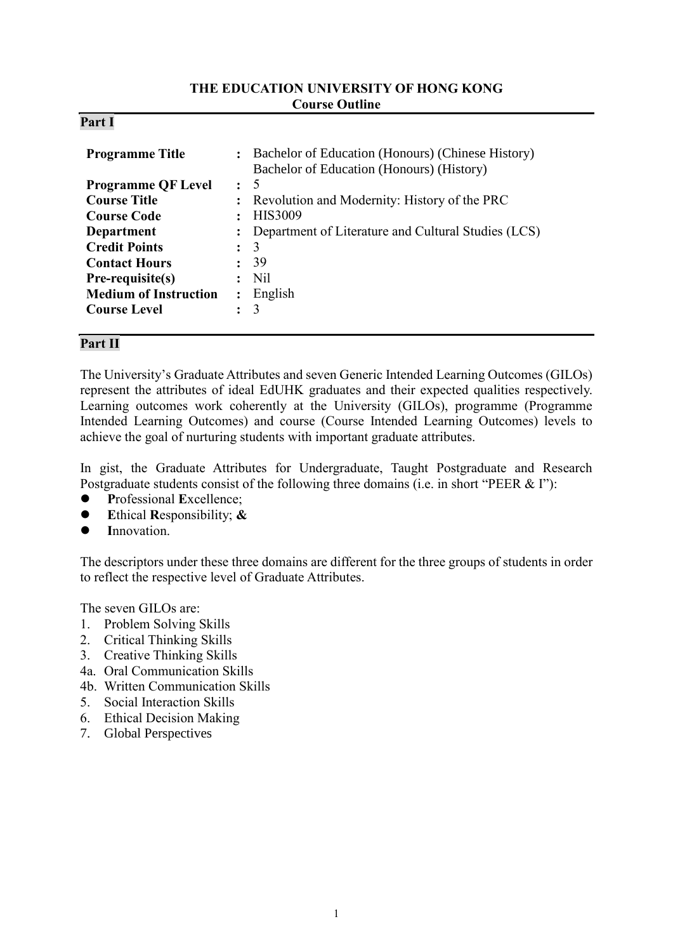#### **THE EDUCATION UNIVERSITY OF HONG KONG Course Outline**

#### **Part I**

| <b>Programme Title</b>       |                      | : Bachelor of Education (Honours) (Chinese History)<br>Bachelor of Education (Honours) (History) |
|------------------------------|----------------------|--------------------------------------------------------------------------------------------------|
| <b>Programme QF Level</b>    | $\cdot$ 5            |                                                                                                  |
| <b>Course Title</b>          |                      | : Revolution and Modernity: History of the PRC                                                   |
| <b>Course Code</b>           |                      | <b>HIS3009</b>                                                                                   |
| Department                   |                      | : Department of Literature and Cultural Studies (LCS)                                            |
| <b>Credit Points</b>         |                      | 3                                                                                                |
| <b>Contact Hours</b>         |                      | 39                                                                                               |
| Pre-requisite(s)             |                      | N <sub>il</sub>                                                                                  |
| <b>Medium of Instruction</b> | $\ddot{\phantom{a}}$ | English                                                                                          |
| <b>Course Level</b>          |                      | 3                                                                                                |

# **Part II**

The University's Graduate Attributes and seven Generic Intended Learning Outcomes (GILOs) represent the attributes of ideal EdUHK graduates and their expected qualities respectively. Learning outcomes work coherently at the University (GILOs), programme (Programme Intended Learning Outcomes) and course (Course Intended Learning Outcomes) levels to achieve the goal of nurturing students with important graduate attributes.

In gist, the Graduate Attributes for Undergraduate, Taught Postgraduate and Research Postgraduate students consist of the following three domains (i.e. in short "PEER & I"):

- **P**rofessional **E**xcellence;
- **E**thical **R**esponsibility; **&**
- **I**nnovation.

The descriptors under these three domains are different for the three groups of students in order to reflect the respective level of Graduate Attributes.

The seven GILOs are:

- 1. Problem Solving Skills
- 2. Critical Thinking Skills
- 3. Creative Thinking Skills
- 4a. Oral Communication Skills
- 4b. Written Communication Skills
- 5. Social Interaction Skills
- 6. Ethical Decision Making
- 7. Global Perspectives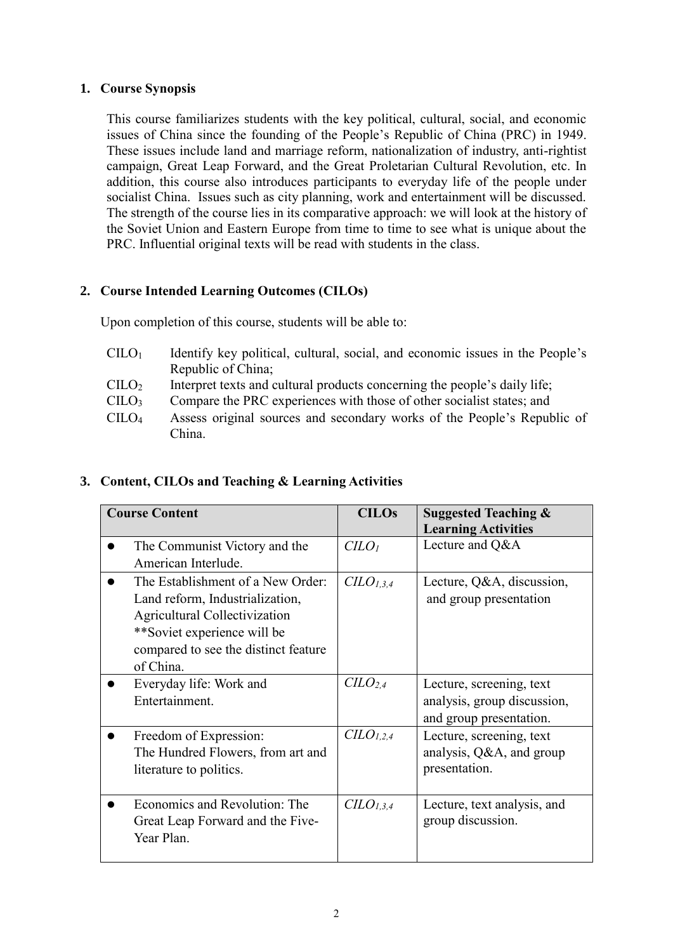## **1. Course Synopsis**

This course familiarizes students with the key political, cultural, social, and economic issues of China since the founding of the People's Republic of China (PRC) in 1949. These issues include land and marriage reform, nationalization of industry, anti-rightist campaign, Great Leap Forward, and the Great Proletarian Cultural Revolution, etc. In addition, this course also introduces participants to everyday life of the people under socialist China. Issues such as city planning, work and entertainment will be discussed. The strength of the course lies in its comparative approach: we will look at the history of the Soviet Union and Eastern Europe from time to time to see what is unique about the PRC. Influential original texts will be read with students in the class.

# **2. Course Intended Learning Outcomes (CILOs)**

Upon completion of this course, students will be able to:

- $C I L O<sub>1</sub>$  Identify key political, cultural, social, and economic issues in the People's Republic of China;
- $\text{CILO}_2$  Interpret texts and cultural products concerning the people's daily life;
- CILO<sup>3</sup> Compare the PRC experiences with those of other socialist states; and
- CILO<sup>4</sup> Assess original sources and secondary works of the People's Republic of China.

## **3. Content, CILOs and Teaching & Learning Activities**

| <b>Course Content</b>                                                                                                                                                                            | <b>CILOs</b>                    | <b>Suggested Teaching &amp;</b><br><b>Learning Activities</b>                      |
|--------------------------------------------------------------------------------------------------------------------------------------------------------------------------------------------------|---------------------------------|------------------------------------------------------------------------------------|
| The Communist Victory and the<br>American Interlude.                                                                                                                                             | C <sub>LO<sub>l</sub></sub>     | Lecture and Q&A                                                                    |
| The Establishment of a New Order:<br>Land reform, Industrialization,<br><b>Agricultural Collectivization</b><br>**Soviet experience will be<br>compared to see the distinct feature<br>of China. | $C\ddot{L}O_{1,3,4}$            | Lecture, Q&A, discussion,<br>and group presentation                                |
| Everyday life: Work and<br>Entertainment.                                                                                                                                                        | C <sub>L</sub> O <sub>2,4</sub> | Lecture, screening, text<br>analysis, group discussion,<br>and group presentation. |
| Freedom of Expression:<br>The Hundred Flowers, from art and<br>literature to politics.                                                                                                           | CLO <sub>1,2,4</sub>            | Lecture, screening, text<br>analysis, Q&A, and group<br>presentation.              |
| Economics and Revolution: The<br>Great Leap Forward and the Five-<br>Year Plan.                                                                                                                  | $CLO_{1,3,4}$                   | Lecture, text analysis, and<br>group discussion.                                   |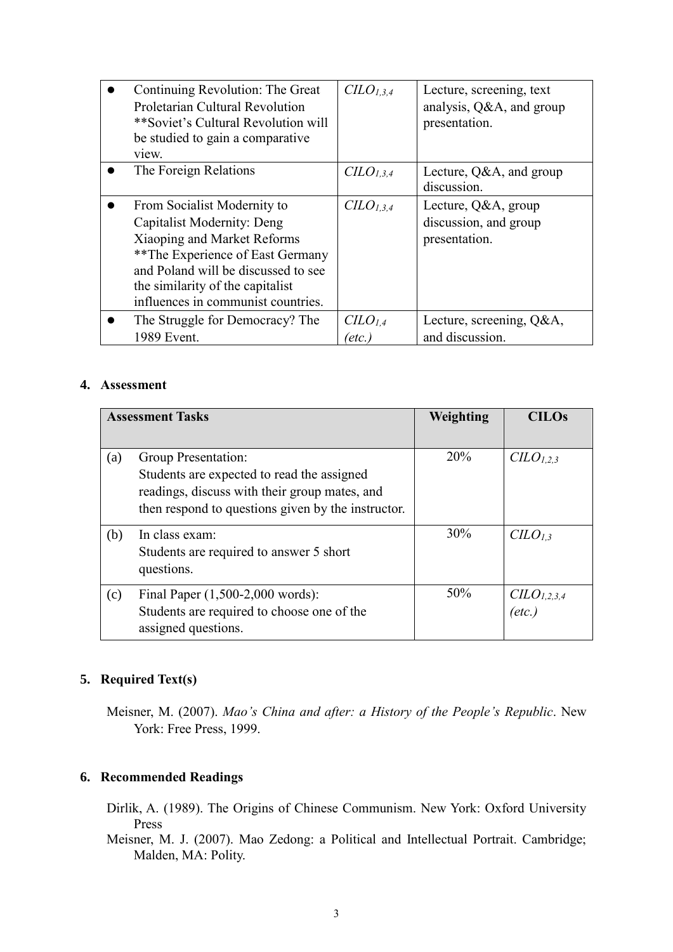| Continuing Revolution: The Great<br>Proletarian Cultural Revolution<br>**Soviet's Cultural Revolution will<br>be studied to gain a comparative<br>view.                                                                                              | CLO <sub>1,3,4</sub>                     | Lecture, screening, text<br>analysis, Q&A, and group<br>presentation. |
|------------------------------------------------------------------------------------------------------------------------------------------------------------------------------------------------------------------------------------------------------|------------------------------------------|-----------------------------------------------------------------------|
| The Foreign Relations                                                                                                                                                                                                                                | C <sub>L</sub> O <sub>1,3,4</sub>        | Lecture, Q&A, and group<br>discussion.                                |
| From Socialist Modernity to<br><b>Capitalist Modernity: Deng</b><br>Xiaoping and Market Reforms<br>**The Experience of East Germany<br>and Poland will be discussed to see<br>the similarity of the capitalist<br>influences in communist countries. | CLO <sub>1,3,4</sub>                     | Lecture, Q&A, group<br>discussion, and group<br>presentation.         |
| The Struggle for Democracy? The<br>1989 Event.                                                                                                                                                                                                       | C <sub>LO</sub> <sub>1,4</sub><br>(etc.) | Lecture, screening, Q&A,<br>and discussion.                           |

#### **4. Assessment**

| <b>Assessment Tasks</b> |                                                                                                                                                                          | Weighting | <b>CILOs</b>                      |
|-------------------------|--------------------------------------------------------------------------------------------------------------------------------------------------------------------------|-----------|-----------------------------------|
|                         |                                                                                                                                                                          |           |                                   |
| (a)                     | Group Presentation:<br>Students are expected to read the assigned<br>readings, discuss with their group mates, and<br>then respond to questions given by the instructor. | 20%       | C <sub>L</sub> O <sub>L,2,3</sub> |
| (b)                     | In class exam:<br>Students are required to answer 5 short<br>questions.                                                                                                  | 30%       | C <sub>L</sub> O <sub>L,3</sub>   |
| (c)                     | Final Paper $(1,500-2,000$ words):<br>Students are required to choose one of the<br>assigned questions.                                                                  | 50%       | $CILO1,2,3,4$<br>(etc.)           |

# **5. Required Text(s)**

Meisner, M. (2007). *Mao's China and after: a History of the People's Republic*. New York: Free Press, 1999.

# **6. Recommended Readings**

- Dirlik, A. (1989). The Origins of Chinese Communism. New York: Oxford University Press
- Meisner, M. J. (2007). Mao Zedong: a Political and Intellectual Portrait. Cambridge; Malden, MA: Polity.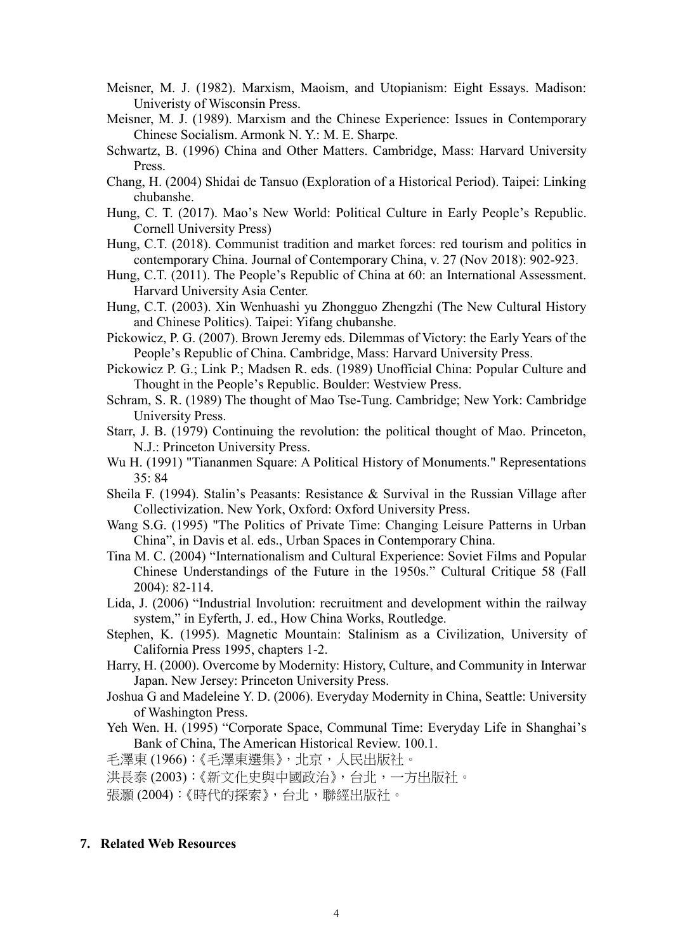- Meisner, M. J. (1982). Marxism, Maoism, and Utopianism: Eight Essays. Madison: Univeristy of Wisconsin Press.
- Meisner, M. J. (1989). Marxism and the Chinese Experience: Issues in Contemporary Chinese Socialism. Armonk N. Y.: M. E. Sharpe.
- Schwartz, B. (1996) China and Other Matters. Cambridge, Mass: Harvard University Press.
- Chang, H. (2004) Shidai de Tansuo (Exploration of a Historical Period). Taipei: Linking chubanshe.
- Hung, C. T. (2017). Mao's New World: Political Culture in Early People's Republic. Cornell University Press)
- Hung, C.T. (2018). Communist tradition and market forces: red tourism and politics in contemporary China. Journal of Contemporary China, v. 27 (Nov 2018): 902-923.
- Hung, C.T. (2011). The People's Republic of China at 60: an International Assessment. Harvard University Asia Center.
- Hung, C.T. (2003). Xin Wenhuashi yu Zhongguo Zhengzhi (The New Cultural History and Chinese Politics). Taipei: Yifang chubanshe.
- Pickowicz, P. G. (2007). Brown Jeremy eds. Dilemmas of Victory: the Early Years of the People's Republic of China. Cambridge, Mass: Harvard University Press.
- Pickowicz P. G.; Link P.; Madsen R. eds. (1989) Unofficial China: Popular Culture and Thought in the People's Republic. Boulder: Westview Press.
- Schram, S. R. (1989) The thought of Mao Tse-Tung. Cambridge; New York: Cambridge University Press.
- Starr, J. B. (1979) Continuing the revolution: the political thought of Mao. Princeton, N.J.: Princeton University Press.
- Wu H. (1991) "Tiananmen Square: A Political History of Monuments." Representations 35: 84
- Sheila F. (1994). Stalin's Peasants: Resistance & Survival in the Russian Village after Collectivization. New York, Oxford: Oxford University Press.
- Wang S.G. (1995) "The Politics of Private Time: Changing Leisure Patterns in Urban China", in Davis et al. eds., Urban Spaces in Contemporary China.
- Tina M. C. (2004) "Internationalism and Cultural Experience: Soviet Films and Popular Chinese Understandings of the Future in the 1950s." Cultural Critique 58 (Fall 2004): 82-114.
- Lida, J. (2006) "Industrial Involution: recruitment and development within the railway system," in Eyferth, J. ed., How China Works, Routledge.
- Stephen, K. (1995). Magnetic Mountain: Stalinism as a Civilization, University of California Press 1995, chapters 1-2.
- Harry, H. (2000). Overcome by Modernity: History, Culture, and Community in Interwar Japan. New Jersey: Princeton University Press.
- Joshua G and Madeleine Y. D. (2006). Everyday Modernity in China, Seattle: University of Washington Press.
- Yeh Wen. H. (1995) "Corporate Space, Communal Time: Everyday Life in Shanghai's Bank of China, The American Historical Review. 100.1.

毛澤東 (1966):《毛澤東選集》,北京,人民出版社。

洪長泰 (2003):《新文化史與中國政治》,台北,一方出版社。

張灝 (2004):《時代的探索》,台北,聯經出版社。

#### **7. Related Web Resources**